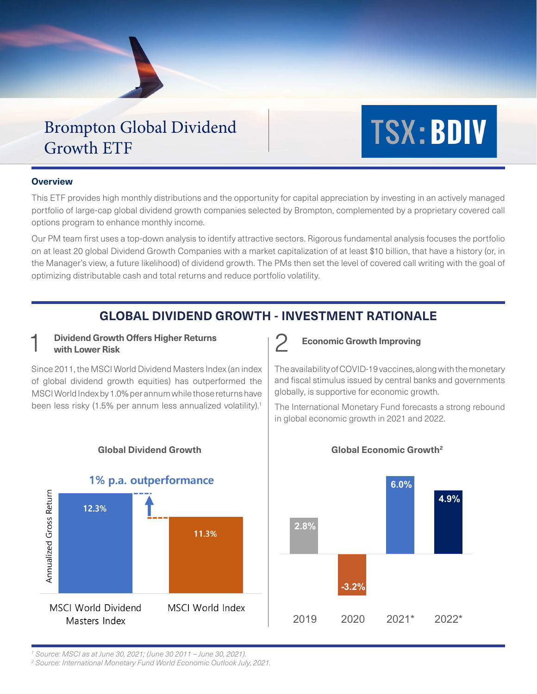## Brompton Global Dividend Growth ETF

# **TSX: BDIV**

## **Overview**

This ETF provides high monthly distributions and the opportunity for capital appreciation by investing in an actively managed portfolio of large-cap global dividend growth companies selected by Brompton, complemented by a proprietary covered call options program to enhance monthly income.

Our PM team first uses a top-down analysis to identify attractive sectors. Rigorous fundamental analysis focuses the portfolio on at least 20 global Dividend Growth Companies with a market capitalization of at least \$10 billion, that have a history (or, in the Manager's view, a future likelihood) of dividend growth. The PMs then set the level of covered call writing with the goal of optimizing distributable cash and total returns and reduce portfolio volatility.

## **GLOBAL DIVIDEND GROWTH - INVESTMENT RATIONALE**

## **Dividend Growth Offers Higher Returns**<br>with Lower Risk

Since 2011, the MSCI World Dividend Masters Index (an index of global dividend growth equities) has outperformed the MSCI World Index by 1.0% per annum while those returns have been less risky (1.5% per annum less annualized volatility).<sup>1</sup>



**Global Dividend Growth Global Economic Growth2**

**Economic Growth Improving** 

The availability of COVID-19 vaccines, along with the monetary and fiscal stimulus issued by central banks and governments globally, is supportive for economic growth.

The International Monetary Fund forecasts a strong rebound in global economic growth in 2021 and 2022.



*1 Source: MSCI as at June 30, 2021; (June 30 2011 – June 30, 2021).*

*2 Source: International Monetary Fund World Economic Outlook July, 2021.*